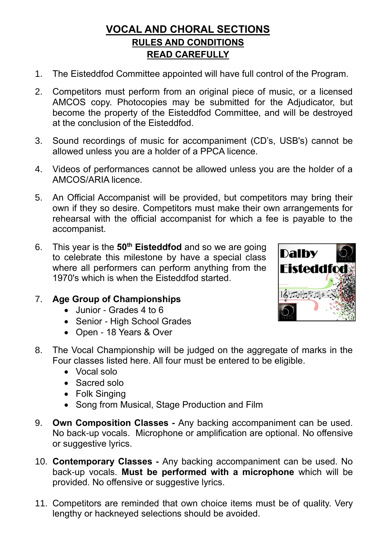## **VOCAL AND CHORAL SECTIONS RULES AND CONDITIONS READ CAREFULLY**

- 1. The Eisteddfod Committee appointed will have full control of the Program.
- 2. Competitors must perform from an original piece of music, or a licensed AMCOS copy. Photocopies may be submitted for the Adjudicator, but become the property of the Eisteddfod Committee, and will be destroyed at the conclusion of the Eisteddfod.
- 3. Sound recordings of music for accompaniment (CD's, USB's) cannot be allowed unless you are a holder of a PPCA licence.
- 4. Videos of performances cannot be allowed unless you are the holder of a AMCOS/ARIA licence.
- 5. An Official Accompanist will be provided, but competitors may bring their own if they so desire. Competitors must make their own arrangements for rehearsal with the official accompanist for which a fee is payable to the accompanist.
- 6. This year is the **50th Eisteddfod** and so we are going to celebrate this milestone by have a special class where all performers can perform anything from the 1970's which is when the Eisteddfod started.

## 7. **Age Group of Championships**

- Junior Grades 4 to 6
- Senior High School Grades
- Open 18 Years & Over



- 8. The Vocal Championship will be judged on the aggregate of marks in the Four classes listed here. All four must be entered to be eligible.
	- Vocal solo
	- Sacred solo
	- Folk Singing
	- Song from Musical, Stage Production and Film
- 9. **Own Composition Classes -** Any backing accompaniment can be used. No back-up vocals. Microphone or amplification are optional. No offensive or suggestive lyrics.
- 10. **Contemporary Classes -** Any backing accompaniment can be used. No back-up vocals. **Must be performed with a microphone** which will be provided. No offensive or suggestive lyrics.
- 11. Competitors are reminded that own choice items must be of quality. Very lengthy or hackneyed selections should be avoided.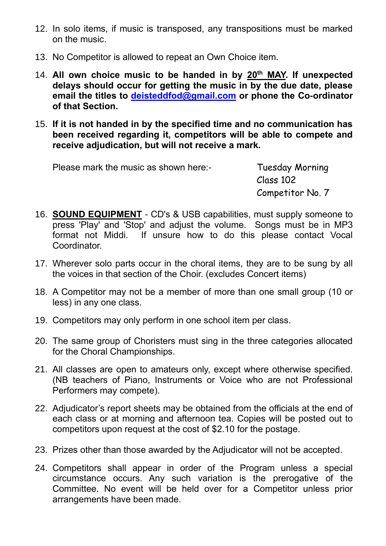- 12. In solo items, if music is transposed, any transpositions must be marked on the music.
- 13. No Competitor is allowed to repeat an Own Choice item.
- 14. All own choice music to be handed in by 20<sup>th</sup> MAY. If unexpected **delays should occur for getting the music in by the due date, please email the titles to [deisteddfod@gmail.com](mailto:deisteddfod@gmail.con) or phone the Co-ordinator of that Section.**
- 15. **If it is not handed in by the specified time and no communication has been received regarding it, competitors will be able to compete and receive adjudication, but will not receive a mark.**

Please mark the music as shown here:- Tuesday Morning

Class 102 Competitor No. 7

- 16. **SOUND EQUIPMENT** CD's & USB capabilities, must supply someone to press 'Play' and 'Stop' and adjust the volume. Songs must be in MP3 format not Middi. If unsure how to do this please contact Vocal **Coordinator**
- 17. Wherever solo parts occur in the choral items, they are to be sung by all the voices in that section of the Choir. (excludes Concert items)
- 18. A Competitor may not be a member of more than one small group (10 or less) in any one class.
- 19. Competitors may only perform in one school item per class.
- 20. The same group of Choristers must sing in the three categories allocated for the Choral Championships.
- 21. All classes are open to amateurs only, except where otherwise specified. (NB teachers of Piano, Instruments or Voice who are not Professional Performers may compete).
- 22. Adjudicator's report sheets may be obtained from the officials at the end of each class or at morning and afternoon tea. Copies will be posted out to competitors upon request at the cost of \$2.10 for the postage.
- 23. Prizes other than those awarded by the Adjudicator will not be accepted.
- 24. Competitors shall appear in order of the Program unless a special circumstance occurs. Any such variation is the prerogative of the Committee. No event will be held over for a Competitor unless prior arrangements have been made.